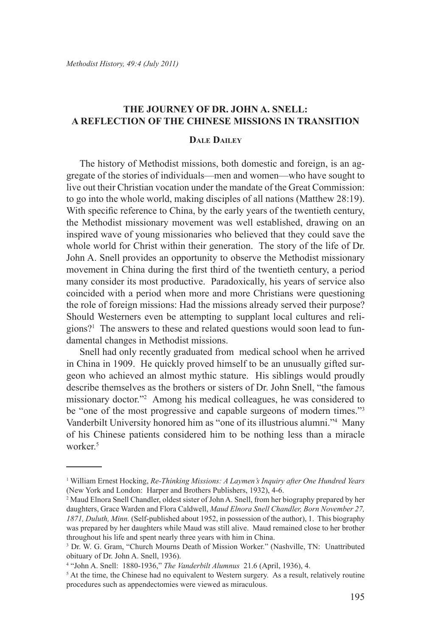# **The Journey of Dr. John A. Snell: A Reflection of the Chinese Missions in Transition**

# **DALE DAILEY**

The history of Methodist missions, both domestic and foreign, is an aggregate of the stories of individuals—men and women—who have sought to live out their Christian vocation under the mandate of the Great Commission: to go into the whole world, making disciples of all nations (Matthew 28:19). With specific reference to China, by the early years of the twentieth century, the Methodist missionary movement was well established, drawing on an inspired wave of young missionaries who believed that they could save the whole world for Christ within their generation. The story of the life of Dr. John A. Snell provides an opportunity to observe the Methodist missionary movement in China during the first third of the twentieth century, a period many consider its most productive. Paradoxically, his years of service also coincided with a period when more and more Christians were questioning the role of foreign missions: Had the missions already served their purpose? Should Westerners even be attempting to supplant local cultures and religions?1 The answers to these and related questions would soon lead to fundamental changes in Methodist missions.

Snell had only recently graduated from medical school when he arrived in China in 1909. He quickly proved himself to be an unusually gifted surgeon who achieved an almost mythic stature. His siblings would proudly describe themselves as the brothers or sisters of Dr. John Snell, "the famous missionary doctor."2 Among his medical colleagues, he was considered to be "one of the most progressive and capable surgeons of modern times."3 Vanderbilt University honored him as "one of its illustrious alumni."4 Many of his Chinese patients considered him to be nothing less than a miracle worker.<sup>5</sup>

<sup>1</sup> William Ernest Hocking, *Re-Thinking Missions: A Laymen's Inquiry after One Hundred Years* (New York and London: Harper and Brothers Publishers, 1932), 4-6.

<sup>2</sup> Maud Elnora Snell Chandler, oldest sister of John A. Snell, from her biography prepared by her daughters, Grace Warden and Flora Caldwell, *Maud Elnora Snell Chandler, Born November 27, 1871, Duluth, Minn.* (Self-published about 1952, in possession of the author), 1. This biography was prepared by her daughters while Maud was still alive. Maud remained close to her brother throughout his life and spent nearly three years with him in China.

<sup>&</sup>lt;sup>3</sup> Dr. W. G. Gram, "Church Mourns Death of Mission Worker." (Nashville, TN: Unattributed obituary of Dr. John A. Snell, 1936).

<sup>4</sup> "John A. Snell: 1880-1936," *The Vanderbilt Alumnus* 21.6 (April, 1936), 4.

<sup>&</sup>lt;sup>5</sup> At the time, the Chinese had no equivalent to Western surgery. As a result, relatively routine procedures such as appendectomies were viewed as miraculous.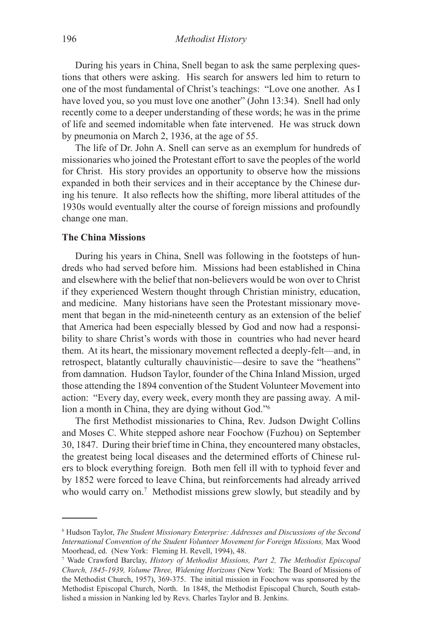During his years in China, Snell began to ask the same perplexing questions that others were asking. His search for answers led him to return to one of the most fundamental of Christ's teachings: "Love one another. As I have loved you, so you must love one another" (John 13:34). Snell had only recently come to a deeper understanding of these words; he was in the prime of life and seemed indomitable when fate intervened. He was struck down by pneumonia on March 2, 1936, at the age of 55.

The life of Dr. John A. Snell can serve as an exemplum for hundreds of missionaries who joined the Protestant effort to save the peoples of the world for Christ. His story provides an opportunity to observe how the missions expanded in both their services and in their acceptance by the Chinese during his tenure. It also reflects how the shifting, more liberal attitudes of the 1930s would eventually alter the course of foreign missions and profoundly change one man.

### **The China Missions**

During his years in China, Snell was following in the footsteps of hundreds who had served before him. Missions had been established in China and elsewhere with the belief that non-believers would be won over to Christ if they experienced Western thought through Christian ministry, education, and medicine. Many historians have seen the Protestant missionary movement that began in the mid-nineteenth century as an extension of the belief that America had been especially blessed by God and now had a responsibility to share Christ's words with those in countries who had never heard them. At its heart, the missionary movement reflected a deeply-felt—and, in retrospect, blatantly culturally chauvinistic—desire to save the "heathens" from damnation. Hudson Taylor, founder of the China Inland Mission, urged those attending the 1894 convention of the Student Volunteer Movement into action: "Every day, every week, every month they are passing away. A million a month in China, they are dying without God."6

The first Methodist missionaries to China, Rev. Judson Dwight Collins and Moses C. White stepped ashore near Foochow (Fuzhou) on September 30, 1847. During their brief time in China, they encountered many obstacles, the greatest being local diseases and the determined efforts of Chinese rulers to block everything foreign. Both men fell ill with to typhoid fever and by 1852 were forced to leave China, but reinforcements had already arrived who would carry on.<sup>7</sup> Methodist missions grew slowly, but steadily and by

<sup>6</sup> Hudson Taylor, *The Student Missionary Enterprise: Addresses and Discussions of the Second International Convention of the Student Volunteer Movement for Foreign Missions,* Max Wood Moorhead, ed. (New York: Fleming H. Revell, 1994), 48.

<sup>7</sup> Wade Crawford Barclay, *History of Methodist Missions, Part 2, The Methodist Episcopal Church, 1845-1939, Volume Three, Widening Horizons* (New York: The Board of Missions of the Methodist Church, 1957), 369-375. The initial mission in Foochow was sponsored by the Methodist Episcopal Church, North. In 1848, the Methodist Episcopal Church, South established a mission in Nanking led by Revs. Charles Taylor and B. Jenkins.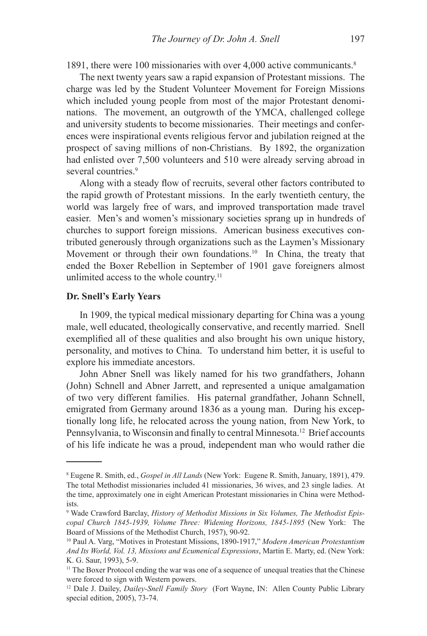1891, there were 100 missionaries with over 4,000 active communicants.<sup>8</sup>

The next twenty years saw a rapid expansion of Protestant missions. The charge was led by the Student Volunteer Movement for Foreign Missions which included young people from most of the major Protestant denominations. The movement, an outgrowth of the YMCA, challenged college and university students to become missionaries. Their meetings and conferences were inspirational events religious fervor and jubilation reigned at the prospect of saving millions of non-Christians. By 1892, the organization had enlisted over 7,500 volunteers and 510 were already serving abroad in several countries.<sup>9</sup>

Along with a steady flow of recruits, several other factors contributed to the rapid growth of Protestant missions. In the early twentieth century, the world was largely free of wars, and improved transportation made travel easier. Men's and women's missionary societies sprang up in hundreds of churches to support foreign missions. American business executives contributed generously through organizations such as the Laymen's Missionary Movement or through their own foundations.<sup>10</sup> In China, the treaty that ended the Boxer Rebellion in September of 1901 gave foreigners almost unlimited access to the whole country.<sup>11</sup>

#### **Dr. Snell's Early Years**

In 1909, the typical medical missionary departing for China was a young male, well educated, theologically conservative, and recently married. Snell exemplified all of these qualities and also brought his own unique history, personality, and motives to China. To understand him better, it is useful to explore his immediate ancestors.

John Abner Snell was likely named for his two grandfathers, Johann (John) Schnell and Abner Jarrett, and represented a unique amalgamation of two very different families. His paternal grandfather, Johann Schnell, emigrated from Germany around 1836 as a young man. During his exceptionally long life, he relocated across the young nation, from New York, to Pennsylvania, to Wisconsin and finally to central Minnesota.<sup>12</sup> Brief accounts of his life indicate he was a proud, independent man who would rather die

<sup>8</sup> Eugene R. Smith, ed., *Gospel in All Lands* (New York: Eugene R. Smith, January, 1891), 479. The total Methodist missionaries included 41 missionaries, 36 wives, and 23 single ladies. At the time, approximately one in eight American Protestant missionaries in China were Methodists.

<sup>9</sup> Wade Crawford Barclay, *History of Methodist Missions in Six Volumes, The Methodist Episcopal Church 1845-1939, Volume Three: Widening Horizons, 1845-1895* (New York: The Board of Missions of the Methodist Church, 1957), 90-92.

<sup>10</sup> Paul A. Varg, "Motives in Protestant Missions, 1890-1917," *Modern American Protestantism And Its World, Vol. 13, Missions and Ecumenical Expressions*, Martin E. Marty, ed. (New York: K. G. Saur, 1993), 5-9.

<sup>&</sup>lt;sup>11</sup> The Boxer Protocol ending the war was one of a sequence of unequal treaties that the Chinese were forced to sign with Western powers.

<sup>12</sup> Dale J. Dailey, *Dailey-Snell Family Story* (Fort Wayne, IN: Allen County Public Library special edition, 2005), 73-74.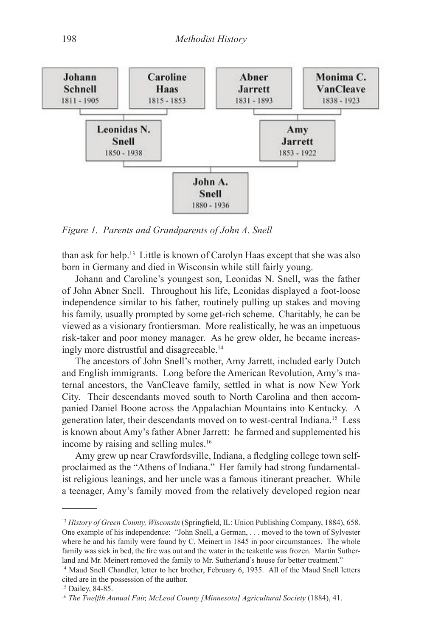

*Figure 1. Parents and Grandparents of John A. Snell*

than ask for help.13 Little is known of Carolyn Haas except that she was also born in Germany and died in Wisconsin while still fairly young.

Johann and Caroline's youngest son, Leonidas N. Snell, was the father of John Abner Snell. Throughout his life, Leonidas displayed a foot-loose independence similar to his father, routinely pulling up stakes and moving his family, usually prompted by some get-rich scheme. Charitably, he can be viewed as a visionary frontiersman. More realistically, he was an impetuous risk-taker and poor money manager. As he grew older, he became increasingly more distrustful and disagreeable.14

The ancestors of John Snell's mother, Amy Jarrett, included early Dutch and English immigrants. Long before the American Revolution, Amy's maternal ancestors, the VanCleave family, settled in what is now New York City. Their descendants moved south to North Carolina and then accompanied Daniel Boone across the Appalachian Mountains into Kentucky. A generation later, their descendants moved on to west-central Indiana.15 Less is known about Amy's father Abner Jarrett: he farmed and supplemented his income by raising and selling mules.<sup>16</sup>

Amy grew up near Crawfordsville, Indiana, a fledgling college town selfproclaimed as the "Athens of Indiana." Her family had strong fundamentalist religious leanings, and her uncle was a famous itinerant preacher. While a teenager, Amy's family moved from the relatively developed region near

<sup>13</sup> *History of Green County, Wisconsin* (Springfield, IL: Union Publishing Company, 1884), 658. One example of his independence: "John Snell, a German, . . . moved to the town of Sylvester where he and his family were found by C. Meinert in 1845 in poor circumstances. The whole family was sick in bed, the fire was out and the water in the teakettle was frozen. Martin Sutherland and Mr. Meinert removed the family to Mr. Sutherland's house for better treatment."

<sup>&</sup>lt;sup>14</sup> Maud Snell Chandler, letter to her brother, February 6, 1935. All of the Maud Snell letters cited are in the possession of the author.

<sup>&</sup>lt;sup>15</sup> Dailey, 84-85.

<sup>16</sup> *The Twelfth Annual Fair, McLeod County [Minnesota] Agricultural Society* (1884), 41.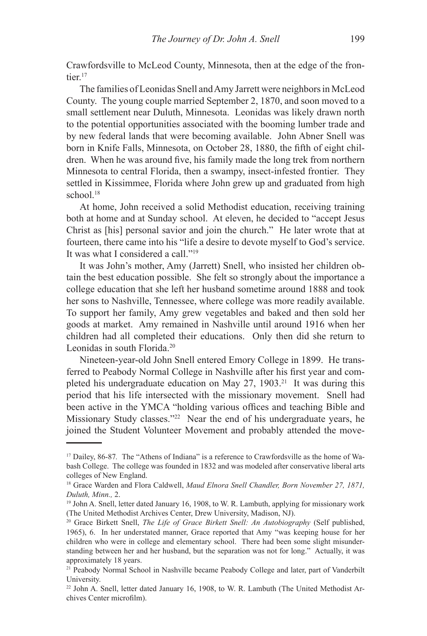Crawfordsville to McLeod County, Minnesota, then at the edge of the frontier<sup>17</sup>

The families of Leonidas Snell and Amy Jarrett were neighbors in McLeod County. The young couple married September 2, 1870, and soon moved to a small settlement near Duluth, Minnesota. Leonidas was likely drawn north to the potential opportunities associated with the booming lumber trade and by new federal lands that were becoming available. John Abner Snell was born in Knife Falls, Minnesota, on October 28, 1880, the fifth of eight children. When he was around five, his family made the long trek from northern Minnesota to central Florida, then a swampy, insect-infested frontier. They settled in Kissimmee, Florida where John grew up and graduated from high school.<sup>18</sup>

At home, John received a solid Methodist education, receiving training both at home and at Sunday school. At eleven, he decided to "accept Jesus Christ as [his] personal savior and join the church." He later wrote that at fourteen, there came into his "life a desire to devote myself to God's service. It was what I considered a call."19

It was John's mother, Amy (Jarrett) Snell, who insisted her children obtain the best education possible. She felt so strongly about the importance a college education that she left her husband sometime around 1888 and took her sons to Nashville, Tennessee, where college was more readily available. To support her family, Amy grew vegetables and baked and then sold her goods at market. Amy remained in Nashville until around 1916 when her children had all completed their educations. Only then did she return to Leonidas in south Florida.20

Nineteen-year-old John Snell entered Emory College in 1899. He transferred to Peabody Normal College in Nashville after his first year and completed his undergraduate education on May  $27$ , 1903.<sup>21</sup> It was during this period that his life intersected with the missionary movement. Snell had been active in the YMCA "holding various offices and teaching Bible and Missionary Study classes."22 Near the end of his undergraduate years, he joined the Student Volunteer Movement and probably attended the move-

<sup>&</sup>lt;sup>17</sup> Dailey, 86-87. The "Athens of Indiana" is a reference to Crawfordsville as the home of Wabash College. The college was founded in 1832 and was modeled after conservative liberal arts colleges of New England.

<sup>18</sup> Grace Warden and Flora Caldwell, *Maud Elnora Snell Chandler, Born November 27, 1871, Duluth, Minn.,* 2.

<sup>&</sup>lt;sup>19</sup> John A. Snell, letter dated January 16, 1908, to W. R. Lambuth, applying for missionary work (The United Methodist Archives Center, Drew University, Madison, NJ).

<sup>20</sup> Grace Birkett Snell, *The Life of Grace Birkett Snell: An Autobiography* (Self published, 1965), 6. In her understated manner, Grace reported that Amy "was keeping house for her children who were in college and elementary school. There had been some slight misunderstanding between her and her husband, but the separation was not for long." Actually, it was approximately 18 years.

<sup>&</sup>lt;sup>21</sup> Peabody Normal School in Nashville became Peabody College and later, part of Vanderbilt University.

<sup>22</sup> John A. Snell, letter dated January 16, 1908, to W. R. Lambuth (The United Methodist Archives Center microfilm).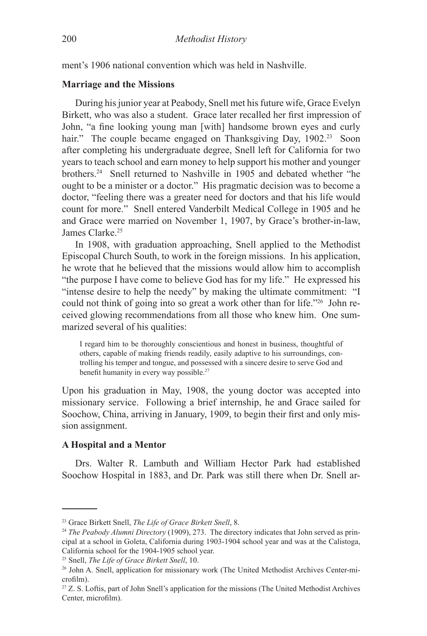ment's 1906 national convention which was held in Nashville.

#### **Marriage and the Missions**

During his junior year at Peabody, Snell met his future wife, Grace Evelyn Birkett, who was also a student. Grace later recalled her first impression of John, "a fine looking young man [with] handsome brown eyes and curly hair." The couple became engaged on Thanksgiving Day, 1902.<sup>23</sup> Soon after completing his undergraduate degree, Snell left for California for two years to teach school and earn money to help support his mother and younger brothers.24 Snell returned to Nashville in 1905 and debated whether "he ought to be a minister or a doctor." His pragmatic decision was to become a doctor, "feeling there was a greater need for doctors and that his life would count for more." Snell entered Vanderbilt Medical College in 1905 and he and Grace were married on November 1, 1907, by Grace's brother-in-law, James Clarke.25

In 1908, with graduation approaching, Snell applied to the Methodist Episcopal Church South, to work in the foreign missions. In his application, he wrote that he believed that the missions would allow him to accomplish "the purpose I have come to believe God has for my life." He expressed his "intense desire to help the needy" by making the ultimate commitment: "I could not think of going into so great a work other than for life."26 John received glowing recommendations from all those who knew him. One summarized several of his qualities:

I regard him to be thoroughly conscientious and honest in business, thoughtful of others, capable of making friends readily, easily adaptive to his surroundings, controlling his temper and tongue, and possessed with a sincere desire to serve God and benefit humanity in every way possible.<sup>27</sup>

Upon his graduation in May, 1908, the young doctor was accepted into missionary service. Following a brief internship, he and Grace sailed for Soochow, China, arriving in January, 1909, to begin their first and only mission assignment.

#### **A Hospital and a Mentor**

Drs. Walter R. Lambuth and William Hector Park had established Soochow Hospital in 1883, and Dr. Park was still there when Dr. Snell ar-

<sup>23</sup> Grace Birkett Snell, *The Life of Grace Birkett Snell*, 8.

<sup>24</sup> *The Peabody Alumni Directory* (1909), 273. The directory indicates that John served as principal at a school in Goleta, California during 1903-1904 school year and was at the Calistoga, California school for the 1904-1905 school year.

<sup>25</sup> Snell, *The Life of Grace Birkett Snell*, 10.

<sup>26</sup> John A. Snell, application for missionary work (The United Methodist Archives Center-microfilm).

<sup>27</sup> Z. S. Loftis, part of John Snell's application for the missions (The United Methodist Archives Center, microfilm).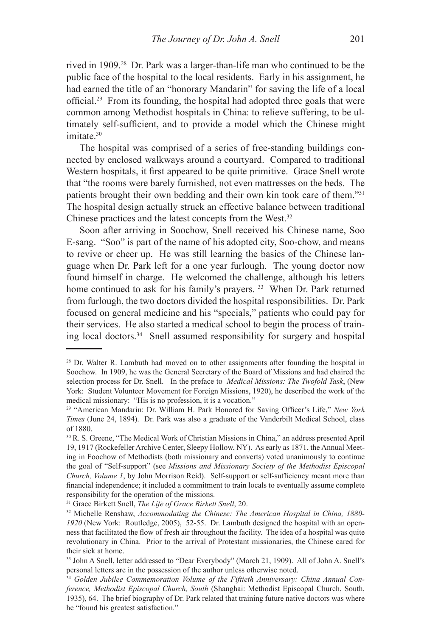rived in 1909.28 Dr. Park was a larger-than-life man who continued to be the public face of the hospital to the local residents. Early in his assignment, he had earned the title of an "honorary Mandarin" for saving the life of a local official.29 From its founding, the hospital had adopted three goals that were common among Methodist hospitals in China: to relieve suffering, to be ultimately self-sufficient, and to provide a model which the Chinese might imitate 30

The hospital was comprised of a series of free-standing buildings connected by enclosed walkways around a courtyard. Compared to traditional Western hospitals, it first appeared to be quite primitive. Grace Snell wrote that "the rooms were barely furnished, not even mattresses on the beds. The patients brought their own bedding and their own kin took care of them."31 The hospital design actually struck an effective balance between traditional Chinese practices and the latest concepts from the West.32

Soon after arriving in Soochow, Snell received his Chinese name, Soo E-sang. "Soo" is part of the name of his adopted city, Soo-chow, and means to revive or cheer up. He was still learning the basics of the Chinese language when Dr. Park left for a one year furlough. The young doctor now found himself in charge. He welcomed the challenge, although his letters home continued to ask for his family's prayers.<sup>33</sup> When Dr. Park returned from furlough, the two doctors divided the hospital responsibilities. Dr. Park focused on general medicine and his "specials," patients who could pay for their services. He also started a medical school to begin the process of training local doctors.34 Snell assumed responsibility for surgery and hospital

<sup>28</sup> Dr. Walter R. Lambuth had moved on to other assignments after founding the hospital in Soochow. In 1909, he was the General Secretary of the Board of Missions and had chaired the selection process for Dr. Snell. In the preface to *Medical Missions: The Twofold Task*, (New York: Student Volunteer Movement for Foreign Missions, 1920), he described the work of the medical missionary: "His is no profession, it is a vocation."

<sup>29</sup> "American Mandarin: Dr. William H. Park Honored for Saving Officer's Life," *New York Times* (June 24, 1894). Dr. Park was also a graduate of the Vanderbilt Medical School, class of 1880.

<sup>30</sup> R. S. Greene, "The Medical Work of Christian Missions in China," an address presented April 19, 1917 (Rockefeller Archive Center, Sleepy Hollow, NY). As early as 1871, the Annual Meeting in Foochow of Methodists (both missionary and converts) voted unanimously to continue the goal of "Self-support" (see *Missions and Missionary Society of the Methodist Episcopal Church, Volume 1*, by John Morrison Reid). Self-support or self-sufficiency meant more than financial independence; it included a commitment to train locals to eventually assume complete responsibility for the operation of the missions.

<sup>31</sup> Grace Birkett Snell, *The Life of Grace Birkett Snell*, 20.

<sup>32</sup> Michelle Renshaw, *Accommodating the Chinese: The American Hospital in China, 1880- 1920* (New York: Routledge, 2005), 52-55. Dr. Lambuth designed the hospital with an openness that facilitated the flow of fresh air throughout the facility. The idea of a hospital was quite revolutionary in China. Prior to the arrival of Protestant missionaries, the Chinese cared for their sick at home.

<sup>33</sup> John A Snell, letter addressed to "Dear Everybody" (March 21, 1909). All of John A. Snell's personal letters are in the possession of the author unless otherwise noted.

<sup>34</sup> *Golden Jubilee Commemoration Volume of the Fiftieth Anniversary: China Annual Conference, Methodist Episcopal Church, South* (Shanghai: Methodist Episcopal Church, South, 1935), 64. The brief biography of Dr. Park related that training future native doctors was where he "found his greatest satisfaction."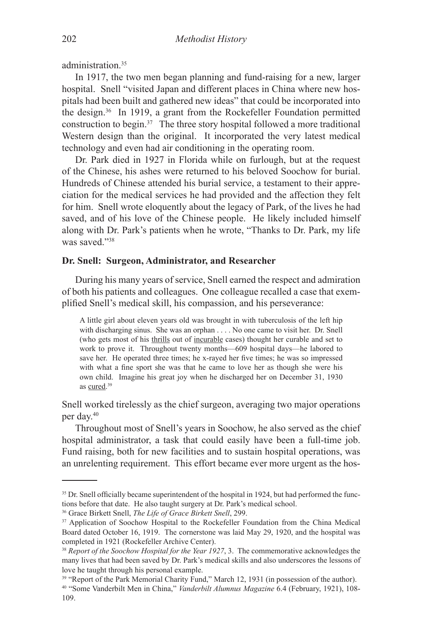administration<sup>35</sup>

In 1917, the two men began planning and fund-raising for a new, larger hospital. Snell "visited Japan and different places in China where new hospitals had been built and gathered new ideas" that could be incorporated into the design.36 In 1919, a grant from the Rockefeller Foundation permitted construction to begin.37 The three story hospital followed a more traditional Western design than the original. It incorporated the very latest medical technology and even had air conditioning in the operating room.

Dr. Park died in 1927 in Florida while on furlough, but at the request of the Chinese, his ashes were returned to his beloved Soochow for burial. Hundreds of Chinese attended his burial service, a testament to their appreciation for the medical services he had provided and the affection they felt for him. Snell wrote eloquently about the legacy of Park, of the lives he had saved, and of his love of the Chinese people. He likely included himself along with Dr. Park's patients when he wrote, "Thanks to Dr. Park, my life was saved<sup>"38</sup>

# **Dr. Snell: Surgeon, Administrator, and Researcher**

During his many years of service, Snell earned the respect and admiration of both his patients and colleagues. One colleague recalled a case that exemplified Snell's medical skill, his compassion, and his perseverance:

A little girl about eleven years old was brought in with tuberculosis of the left hip with discharging sinus. She was an orphan . . . . No one came to visit her. Dr. Snell (who gets most of his thrills out of incurable cases) thought her curable and set to work to prove it. Throughout twenty months—609 hospital days—he labored to save her. He operated three times; he x-rayed her five times; he was so impressed with what a fine sport she was that he came to love her as though she were his own child. Imagine his great joy when he discharged her on December 31, 1930 as cured.<sup>39</sup>

Snell worked tirelessly as the chief surgeon, averaging two major operations per day.40

Throughout most of Snell's years in Soochow, he also served as the chief hospital administrator, a task that could easily have been a full-time job. Fund raising, both for new facilities and to sustain hospital operations, was an unrelenting requirement. This effort became ever more urgent as the hos-

<sup>&</sup>lt;sup>35</sup> Dr. Snell officially became superintendent of the hospital in 1924, but had performed the functions before that date. He also taught surgery at Dr. Park's medical school.

<sup>36</sup> Grace Birkett Snell, *The Life of Grace Birkett Snell*, 299.

<sup>&</sup>lt;sup>37</sup> Application of Soochow Hospital to the Rockefeller Foundation from the China Medical Board dated October 16, 1919. The cornerstone was laid May 29, 1920, and the hospital was completed in 1921 (Rockefeller Archive Center).

<sup>38</sup> *Report of the Soochow Hospital for the Year 1927*, 3. The commemorative acknowledges the many lives that had been saved by Dr. Park's medical skills and also underscores the lessons of love he taught through his personal example.

<sup>&</sup>lt;sup>39</sup> "Report of the Park Memorial Charity Fund," March 12, 1931 (in possession of the author). 40 "Some Vanderbilt Men in China," *Vanderbilt Alumnus Magazine* 6.4 (February, 1921), 108- 109.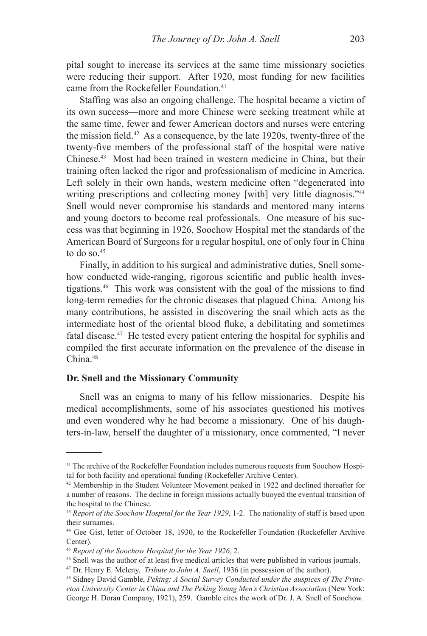pital sought to increase its services at the same time missionary societies were reducing their support. After 1920, most funding for new facilities came from the Rockefeller Foundation.<sup>41</sup>

Staffing was also an ongoing challenge. The hospital became a victim of its own success—more and more Chinese were seeking treatment while at the same time, fewer and fewer American doctors and nurses were entering the mission field.<sup>42</sup> As a consequence, by the late 1920s, twenty-three of the twenty-five members of the professional staff of the hospital were native Chinese.43 Most had been trained in western medicine in China, but their training often lacked the rigor and professionalism of medicine in America. Left solely in their own hands, western medicine often "degenerated into writing prescriptions and collecting money [with] very little diagnosis."<sup>44</sup> Snell would never compromise his standards and mentored many interns and young doctors to become real professionals. One measure of his success was that beginning in 1926, Soochow Hospital met the standards of the American Board of Surgeons for a regular hospital, one of only four in China to do so. $45$ 

Finally, in addition to his surgical and administrative duties, Snell somehow conducted wide-ranging, rigorous scientific and public health investigations.46 This work was consistent with the goal of the missions to find long-term remedies for the chronic diseases that plagued China. Among his many contributions, he assisted in discovering the snail which acts as the intermediate host of the oriental blood fluke, a debilitating and sometimes fatal disease.47 He tested every patient entering the hospital for syphilis and compiled the first accurate information on the prevalence of the disease in China<sup>48</sup>

# **Dr. Snell and the Missionary Community**

Snell was an enigma to many of his fellow missionaries. Despite his medical accomplishments, some of his associates questioned his motives and even wondered why he had become a missionary. One of his daughters-in-law, herself the daughter of a missionary, once commented, "I never

<sup>&</sup>lt;sup>41</sup> The archive of the Rockefeller Foundation includes numerous requests from Soochow Hospital for both facility and operational funding (Rockefeller Archive Center).

<sup>42</sup> Membership in the Student Volunteer Movement peaked in 1922 and declined thereafter for a number of reasons. The decline in foreign missions actually buoyed the eventual transition of the hospital to the Chinese.

<sup>43</sup> *Report of the Soochow Hospital for the Year 1929*, 1-2. The nationality of staff is based upon their surnames.

<sup>44</sup> Gee Gist, letter of October 18, 1930, to the Rockefeller Foundation (Rockefeller Archive Center).

<sup>&</sup>lt;sup>45</sup> *Report of the Soochow Hospital for the Year 1926*, 2.<br><sup>46</sup> Snell was the author of at least five medical articles that were published in various journals.

<sup>47</sup> Dr. Henry E. Meleny, *Tribute to John A. Snell*, 1936 (in possession of the author).

<sup>48</sup> Sidney David Gamble, *Peking: A Social Survey Conducted under the auspices of The Princeton University Center in China and The Peking Young Men's Christian Association* (New York: George H. Doran Company, 1921), 259. Gamble cites the work of Dr. J. A. Snell of Soochow.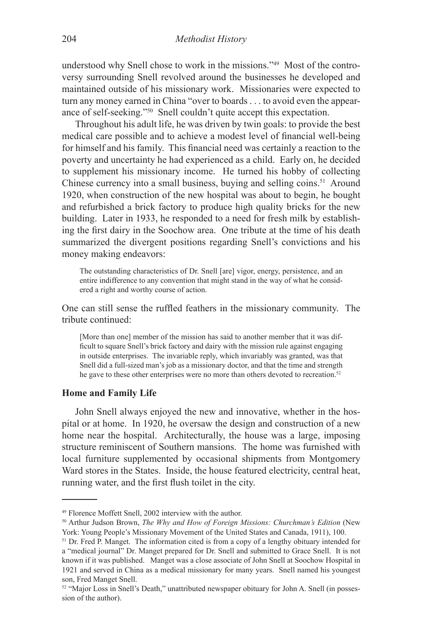understood why Snell chose to work in the missions."49 Most of the controversy surrounding Snell revolved around the businesses he developed and maintained outside of his missionary work. Missionaries were expected to turn any money earned in China "over to boards . . . to avoid even the appearance of self-seeking."50 Snell couldn't quite accept this expectation.

Throughout his adult life, he was driven by twin goals: to provide the best medical care possible and to achieve a modest level of financial well-being for himself and his family. This financial need was certainly a reaction to the poverty and uncertainty he had experienced as a child. Early on, he decided to supplement his missionary income. He turned his hobby of collecting Chinese currency into a small business, buying and selling coins.<sup>51</sup> Around 1920, when construction of the new hospital was about to begin, he bought and refurbished a brick factory to produce high quality bricks for the new building. Later in 1933, he responded to a need for fresh milk by establishing the first dairy in the Soochow area. One tribute at the time of his death summarized the divergent positions regarding Snell's convictions and his money making endeavors:

The outstanding characteristics of Dr. Snell [are] vigor, energy, persistence, and an entire indifference to any convention that might stand in the way of what he considered a right and worthy course of action.

One can still sense the ruffled feathers in the missionary community. The tribute continued:

[More than one] member of the mission has said to another member that it was difficult to square Snell's brick factory and dairy with the mission rule against engaging in outside enterprises. The invariable reply, which invariably was granted, was that Snell did a full-sized man's job as a missionary doctor, and that the time and strength he gave to these other enterprises were no more than others devoted to recreation.<sup>52</sup>

#### **Home and Family Life**

John Snell always enjoyed the new and innovative, whether in the hospital or at home. In 1920, he oversaw the design and construction of a new home near the hospital. Architecturally, the house was a large, imposing structure reminiscent of Southern mansions. The home was furnished with local furniture supplemented by occasional shipments from Montgomery Ward stores in the States. Inside, the house featured electricity, central heat, running water, and the first flush toilet in the city.

<sup>49</sup> Florence Moffett Snell, 2002 interview with the author.

<sup>50</sup> Arthur Judson Brown, *The Why and How of Foreign Missions: Churchman's Edition* (New York: Young People's Missionary Movement of the United States and Canada, 1911), 100.

<sup>&</sup>lt;sup>51</sup> Dr. Fred P. Manget. The information cited is from a copy of a lengthy obituary intended for a "medical journal" Dr. Manget prepared for Dr. Snell and submitted to Grace Snell. It is not known if it was published. Manget was a close associate of John Snell at Soochow Hospital in 1921 and served in China as a medical missionary for many years. Snell named his youngest son, Fred Manget Snell.

<sup>52 &</sup>quot;Major Loss in Snell's Death," unattributed newspaper obituary for John A. Snell (in possession of the author).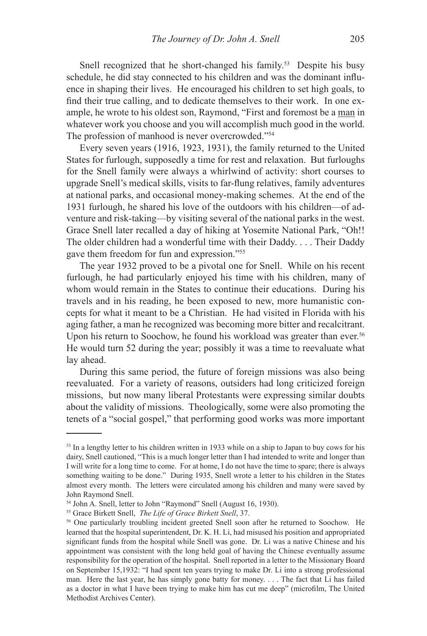Snell recognized that he short-changed his family.<sup>53</sup> Despite his busy schedule, he did stay connected to his children and was the dominant influence in shaping their lives. He encouraged his children to set high goals, to find their true calling, and to dedicate themselves to their work. In one example, he wrote to his oldest son, Raymond, "First and foremost be a man in whatever work you choose and you will accomplish much good in the world. The profession of manhood is never overcrowded."<sup>54</sup>

Every seven years (1916, 1923, 1931), the family returned to the United States for furlough, supposedly a time for rest and relaxation. But furloughs for the Snell family were always a whirlwind of activity: short courses to upgrade Snell's medical skills, visits to far-flung relatives, family adventures at national parks, and occasional money-making schemes. At the end of the 1931 furlough, he shared his love of the outdoors with his children—of adventure and risk-taking—by visiting several of the national parks in the west. Grace Snell later recalled a day of hiking at Yosemite National Park, "Oh!! The older children had a wonderful time with their Daddy. . . . Their Daddy gave them freedom for fun and expression."55

The year 1932 proved to be a pivotal one for Snell. While on his recent furlough, he had particularly enjoyed his time with his children, many of whom would remain in the States to continue their educations. During his travels and in his reading, he been exposed to new, more humanistic concepts for what it meant to be a Christian. He had visited in Florida with his aging father, a man he recognized was becoming more bitter and recalcitrant. Upon his return to Soochow, he found his workload was greater than ever.<sup>56</sup> He would turn 52 during the year; possibly it was a time to reevaluate what lay ahead.

During this same period, the future of foreign missions was also being reevaluated. For a variety of reasons, outsiders had long criticized foreign missions, but now many liberal Protestants were expressing similar doubts about the validity of missions. Theologically, some were also promoting the tenets of a "social gospel," that performing good works was more important

<sup>&</sup>lt;sup>53</sup> In a lengthy letter to his children written in 1933 while on a ship to Japan to buy cows for his dairy, Snell cautioned, "This is a much longer letter than I had intended to write and longer than I will write for a long time to come. For at home, I do not have the time to spare; there is always something waiting to be done." During 1935, Snell wrote a letter to his children in the States almost every month. The letters were circulated among his children and many were saved by John Raymond Snell.

<sup>54</sup> John A. Snell, letter to John "Raymond" Snell (August 16, 1930).

<sup>55</sup> Grace Birkett Snell, *The Life of Grace Birkett Snell*, 37.

<sup>56</sup> One particularly troubling incident greeted Snell soon after he returned to Soochow. He learned that the hospital superintendent, Dr. K. H. Li, had misused his position and appropriated significant funds from the hospital while Snell was gone. Dr. Li was a native Chinese and his appointment was consistent with the long held goal of having the Chinese eventually assume responsibility for the operation of the hospital. Snell reported in a letter to the Missionary Board on September 15,1932: "I had spent ten years trying to make Dr. Li into a strong professional man. Here the last year, he has simply gone batty for money. . . . The fact that Li has failed as a doctor in what I have been trying to make him has cut me deep" (microfilm, The United Methodist Archives Center).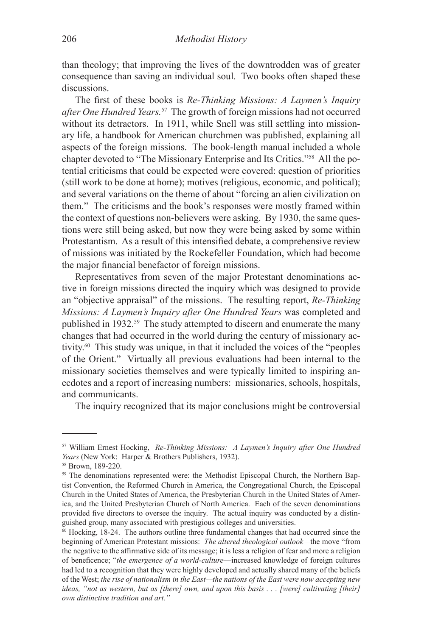than theology; that improving the lives of the downtrodden was of greater consequence than saving an individual soul. Two books often shaped these discussions.

The first of these books is *Re-Thinking Missions: A Laymen's Inquiry after One Hundred Years.*57 The growth of foreign missions had not occurred without its detractors. In 1911, while Snell was still settling into missionary life, a handbook for American churchmen was published, explaining all aspects of the foreign missions. The book-length manual included a whole chapter devoted to "The Missionary Enterprise and Its Critics."58 All the potential criticisms that could be expected were covered: question of priorities (still work to be done at home); motives (religious, economic, and political); and several variations on the theme of about "forcing an alien civilization on them." The criticisms and the book's responses were mostly framed within the context of questions non-believers were asking. By 1930, the same questions were still being asked, but now they were being asked by some within Protestantism. As a result of this intensified debate, a comprehensive review of missions was initiated by the Rockefeller Foundation, which had become the major financial benefactor of foreign missions.

Representatives from seven of the major Protestant denominations active in foreign missions directed the inquiry which was designed to provide an "objective appraisal" of the missions. The resulting report, *Re-Thinking Missions: A Laymen's Inquiry after One Hundred Years* was completed and published in 1932.59 The study attempted to discern and enumerate the many changes that had occurred in the world during the century of missionary activity.60 This study was unique, in that it included the voices of the "peoples of the Orient." Virtually all previous evaluations had been internal to the missionary societies themselves and were typically limited to inspiring anecdotes and a report of increasing numbers: missionaries, schools, hospitals, and communicants.

The inquiry recognized that its major conclusions might be controversial

<sup>57</sup> William Ernest Hocking, *Re-Thinking Missions: A Laymen's Inquiry after One Hundred Years* (New York: Harper & Brothers Publishers, 1932).

<sup>58</sup> Brown, 189-220.

<sup>&</sup>lt;sup>59</sup> The denominations represented were: the Methodist Episcopal Church, the Northern Baptist Convention, the Reformed Church in America, the Congregational Church, the Episcopal Church in the United States of America, the Presbyterian Church in the United States of America, and the United Presbyterian Church of North America. Each of the seven denominations provided five directors to oversee the inquiry. The actual inquiry was conducted by a distinguished group, many associated with prestigious colleges and universities.

 $60$  Hocking, 18-24. The authors outline three fundamental changes that had occurred since the beginning of American Protestant missions: *The altered theological outlook—*the move "from the negative to the affirmative side of its message; it is less a religion of fear and more a religion of beneficence; "*the emergence of a world-culture*—increased knowledge of foreign cultures had led to a recognition that they were highly developed and actually shared many of the beliefs of the West; *the rise of nationalism in the East—the nations of the East were now accepting new ideas, "not as western, but as [there] own, and upon this basis . . . [were] cultivating [their] own distinctive tradition and art."*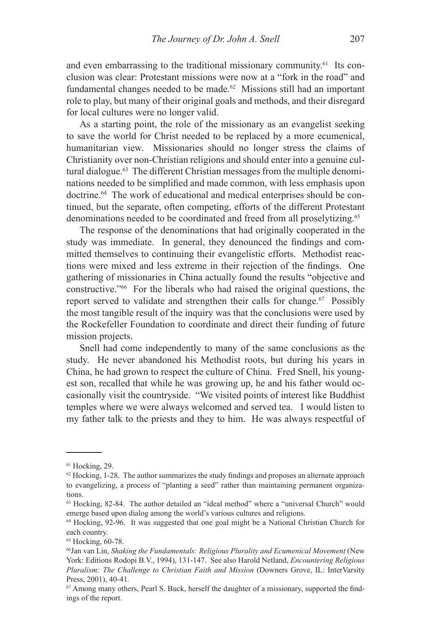and even embarrassing to the traditional missionary community.<sup>61</sup> Its conclusion was clear: Protestant missions were now at a "fork in the road" and fundamental changes needed to be made.<sup>62</sup> Missions still had an important role to play, but many of their original goals and methods, and their disregard for local cultures were no longer valid.

As a starting point, the role of the missionary as an evangelist seeking to save the world for Christ needed to be replaced by a more ecumenical, humanitarian view. Missionaries should no longer stress the claims of Christianity over non-Christian religions and should enter into a genuine cultural dialogue.63 The different Christian messages from the multiple denominations needed to be simplified and made common, with less emphasis upon doctrine.64 The work of educational and medical enterprises should be continued, but the separate, often competing, efforts of the different Protestant denominations needed to be coordinated and freed from all proselytizing.<sup>65</sup>

The response of the denominations that had originally cooperated in the study was immediate. In general, they denounced the findings and committed themselves to continuing their evangelistic efforts. Methodist reactions were mixed and less extreme in their rejection of the findings. One gathering of missionaries in China actually found the results "objective and constructive."66 For the liberals who had raised the original questions, the report served to validate and strengthen their calls for change.<sup>67</sup> Possibly the most tangible result of the inquiry was that the conclusions were used by the Rockefeller Foundation to coordinate and direct their funding of future mission projects.

Snell had come independently to many of the same conclusions as the study. He never abandoned his Methodist roots, but during his years in China, he had grown to respect the culture of China. Fred Snell, his youngest son, recalled that while he was growing up, he and his father would occasionally visit the countryside. "We visited points of interest like Buddhist temples where we were always welcomed and served tea. I would listen to my father talk to the priests and they to him. He was always respectful of

<sup>61</sup> Hocking, 29.

 $62$  Hocking, 1-28. The author summarizes the study findings and proposes an alternate approach to evangelizing, a process of "planting a seed" rather than maintaining permanent organizations.

<sup>63</sup> Hocking, 82-84. The author detailed an "ideal method" where a "universal Church" would emerge based upon dialog among the world's various cultures and religions.

<sup>64</sup> Hocking, 92-96. It was suggested that one goal might be a National Christian Church for each country.

<sup>&</sup>lt;sup>65</sup> Hocking, 60-78.

<sup>66</sup>Jan van Lin, *Shaking the Fundamentals: Religious Plurality and Ecumenical Movement* (New York: Editions Rodopi B.V., 1994), 131-147. See also Harold Netland, *Encountering Religious Pluralism: The Challenge to Christian Faith and Mission (Downers Grove, IL: InterVarsity* Press, 2001), 40-41*.*

<sup>67</sup> Among many others, Pearl S. Buck, herself the daughter of a missionary, supported the findings of the report.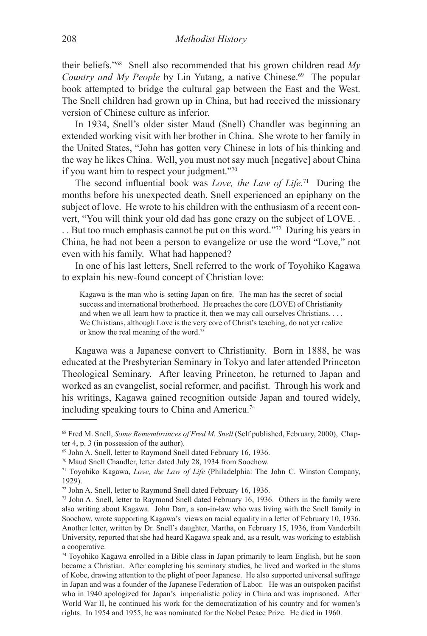their beliefs."68 Snell also recommended that his grown children read *My Country and My People by Lin Yutang, a native Chinese.<sup>69</sup> The popular* book attempted to bridge the cultural gap between the East and the West. The Snell children had grown up in China, but had received the missionary version of Chinese culture as inferior.

In 1934, Snell's older sister Maud (Snell) Chandler was beginning an extended working visit with her brother in China. She wrote to her family in the United States, "John has gotten very Chinese in lots of his thinking and the way he likes China. Well, you must not say much [negative] about China if you want him to respect your judgment."70

The second influential book was *Love, the Law of Life.*71 During the months before his unexpected death, Snell experienced an epiphany on the subject of love. He wrote to his children with the enthusiasm of a recent convert, "You will think your old dad has gone crazy on the subject of LOVE. .

. . But too much emphasis cannot be put on this word."72 During his years in China, he had not been a person to evangelize or use the word "Love," not even with his family. What had happened?

In one of his last letters, Snell referred to the work of Toyohiko Kagawa to explain his new-found concept of Christian love:

Kagawa is the man who is setting Japan on fire. The man has the secret of social success and international brotherhood. He preaches the core (LOVE) of Christianity and when we all learn how to practice it, then we may call ourselves Christians. . . . We Christians, although Love is the very core of Christ's teaching, do not yet realize or know the real meaning of the word.73

Kagawa was a Japanese convert to Christianity. Born in 1888, he was educated at the Presbyterian Seminary in Tokyo and later attended Princeton Theological Seminary. After leaving Princeton, he returned to Japan and worked as an evangelist, social reformer, and pacifist. Through his work and his writings, Kagawa gained recognition outside Japan and toured widely, including speaking tours to China and America.<sup>74</sup>

<sup>68</sup> Fred M. Snell, *Some Remembrances of Fred M. Snell* (Self published, February, 2000), Chapter 4, p. 3 (in possession of the author).

<sup>69</sup> John A. Snell, letter to Raymond Snell dated February 16, 1936.

<sup>70</sup> Maud Snell Chandler, letter dated July 28, 1934 from Soochow.

<sup>71</sup> Toyohiko Kagawa, *Love, the Law of Life* (Philadelphia: The John C. Winston Company, 1929).

<sup>72</sup> John A. Snell, letter to Raymond Snell dated February 16, 1936.

<sup>73</sup> John A. Snell, letter to Raymond Snell dated February 16, 1936. Others in the family were also writing about Kagawa. John Darr, a son-in-law who was living with the Snell family in Soochow, wrote supporting Kagawa's views on racial equality in a letter of February 10, 1936. Another letter, written by Dr. Snell's daughter, Martha, on February 15, 1936, from Vanderbilt University, reported that she had heard Kagawa speak and, as a result, was working to establish a cooperative.

<sup>74</sup> Toyohiko Kagawa enrolled in a Bible class in Japan primarily to learn English, but he soon became a Christian. After completing his seminary studies, he lived and worked in the slums of Kobe, drawing attention to the plight of poor Japanese. He also supported universal suffrage in Japan and was a founder of the Japanese Federation of Labor. He was an outspoken pacifist who in 1940 apologized for Japan's imperialistic policy in China and was imprisoned. After World War II, he continued his work for the democratization of his country and for women's rights. In 1954 and 1955, he was nominated for the Nobel Peace Prize. He died in 1960.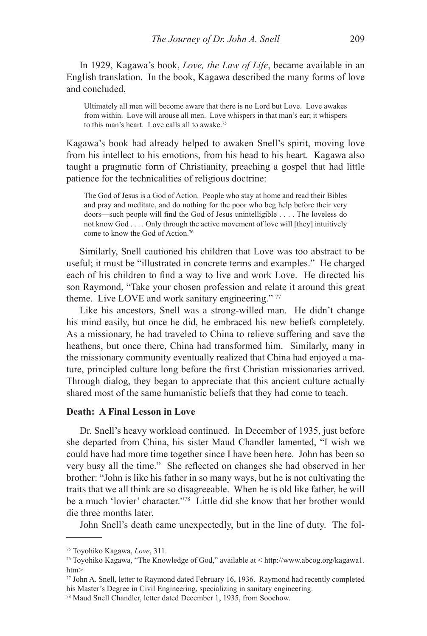In 1929, Kagawa's book, *Love, the Law of Life*, became available in an English translation. In the book, Kagawa described the many forms of love and concluded,

Ultimately all men will become aware that there is no Lord but Love. Love awakes from within. Love will arouse all men. Love whispers in that man's ear; it whispers to this man's heart. Love calls all to awake.<sup>75</sup>

Kagawa's book had already helped to awaken Snell's spirit, moving love from his intellect to his emotions, from his head to his heart. Kagawa also taught a pragmatic form of Christianity, preaching a gospel that had little patience for the technicalities of religious doctrine:

The God of Jesus is a God of Action. People who stay at home and read their Bibles and pray and meditate, and do nothing for the poor who beg help before their very doors—such people will find the God of Jesus unintelligible . . . . The loveless do not know God . . . . Only through the active movement of love will [they] intuitively come to know the God of Action.76

Similarly, Snell cautioned his children that Love was too abstract to be useful; it must be "illustrated in concrete terms and examples." He charged each of his children to find a way to live and work Love. He directed his son Raymond, "Take your chosen profession and relate it around this great theme. Live LOVE and work sanitary engineering." 77

Like his ancestors, Snell was a strong-willed man. He didn't change his mind easily, but once he did, he embraced his new beliefs completely. As a missionary, he had traveled to China to relieve suffering and save the heathens, but once there, China had transformed him. Similarly, many in the missionary community eventually realized that China had enjoyed a mature, principled culture long before the first Christian missionaries arrived. Through dialog, they began to appreciate that this ancient culture actually shared most of the same humanistic beliefs that they had come to teach.

### **Death: A Final Lesson in Love**

Dr. Snell's heavy workload continued. In December of 1935, just before she departed from China, his sister Maud Chandler lamented, "I wish we could have had more time together since I have been here. John has been so very busy all the time." She reflected on changes she had observed in her brother: "John is like his father in so many ways, but he is not cultivating the traits that we all think are so disagreeable. When he is old like father, he will be a much 'lovier' character."78 Little did she know that her brother would die three months later.

John Snell's death came unexpectedly, but in the line of duty. The fol-

<sup>75</sup> Toyohiko Kagawa, *Love*, 311.

<sup>76</sup> Toyohiko Kagawa, "The Knowledge of God," available at < http://www.abcog.org/kagawa1. htm>

<sup>77</sup> John A. Snell, letter to Raymond dated February 16, 1936. Raymond had recently completed his Master's Degree in Civil Engineering, specializing in sanitary engineering.

<sup>78</sup> Maud Snell Chandler, letter dated December 1, 1935, from Soochow.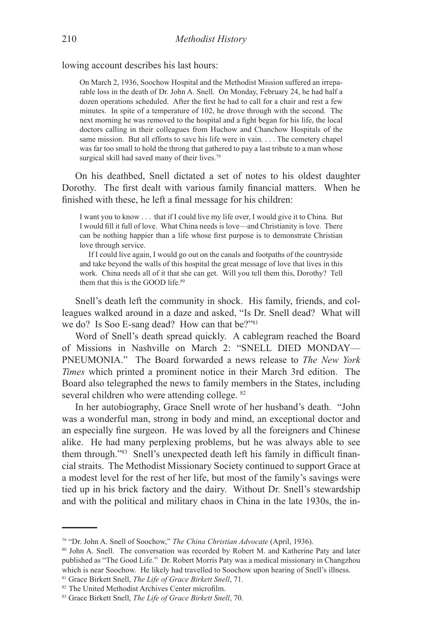lowing account describes his last hours:

On March 2, 1936, Soochow Hospital and the Methodist Mission suffered an irreparable loss in the death of Dr. John A. Snell. On Monday, February 24, he had half a dozen operations scheduled. After the first he had to call for a chair and rest a few minutes. In spite of a temperature of 102, he drove through with the second. The next morning he was removed to the hospital and a fight began for his life, the local doctors calling in their colleagues from Huchow and Chanchow Hospitals of the same mission. But all efforts to save his life were in vain. . . . The cemetery chapel was far too small to hold the throng that gathered to pay a last tribute to a man whose surgical skill had saved many of their lives.<sup>79</sup>

On his deathbed, Snell dictated a set of notes to his oldest daughter Dorothy. The first dealt with various family financial matters. When he finished with these, he left a final message for his children:

I want you to know . . . that if I could live my life over, I would give it to China. But I would fill it full of love. What China needs is love—and Christianity is love. There can be nothing happier than a life whose first purpose is to demonstrate Christian love through service.

If I could live again, I would go out on the canals and footpaths of the countryside and take beyond the walls of this hospital the great message of love that lives in this work. China needs all of it that she can get. Will you tell them this, Dorothy? Tell them that this is the GOOD life.<sup>80</sup>

Snell's death left the community in shock. His family, friends, and colleagues walked around in a daze and asked, "Is Dr. Snell dead? What will we do? Is Soo E-sang dead? How can that be?"<sup>81</sup>

Word of Snell's death spread quickly. A cablegram reached the Board of Missions in Nashville on March 2: "SNELL DIED MONDAY— PNEUMONIA." The Board forwarded a news release to *The New York Times* which printed a prominent notice in their March 3rd edition. The Board also telegraphed the news to family members in the States, including several children who were attending college. 82

In her autobiography, Grace Snell wrote of her husband's death. "John was a wonderful man, strong in body and mind, an exceptional doctor and an especially fine surgeon. He was loved by all the foreigners and Chinese alike. He had many perplexing problems, but he was always able to see them through."83 Snell's unexpected death left his family in difficult financial straits. The Methodist Missionary Society continued to support Grace at a modest level for the rest of her life, but most of the family's savings were tied up in his brick factory and the dairy. Without Dr. Snell's stewardship and with the political and military chaos in China in the late 1930s, the in-

<sup>79 &</sup>quot;Dr. John A. Snell of Soochow," *The China Christian Advocate* (April, 1936).

<sup>80</sup> John A. Snell. The conversation was recorded by Robert M. and Katherine Paty and later published as "The Good Life." Dr. Robert Morris Paty was a medical missionary in Changzhou which is near Soochow. He likely had travelled to Soochow upon hearing of Snell's illness. 81 Grace Birkett Snell, *The Life of Grace Birkett Snell*, 71.

<sup>82</sup> The United Methodist Archives Center microfilm.

<sup>83</sup> Grace Birkett Snell, *The Life of Grace Birkett Snell*, 70.